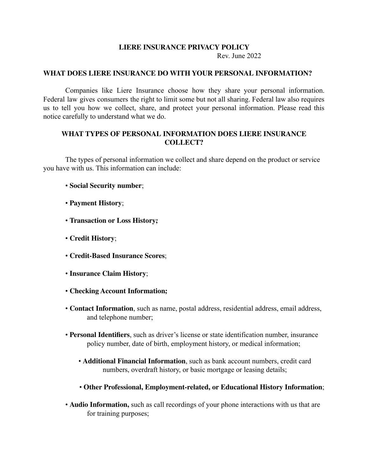## **LIERE INSURANCE PRIVACY POLICY**

Rev. June 2022

## **WHAT DOES LIERE INSURANCE DO WITH YOUR PERSONAL INFORMATION?**

Companies like Liere Insurance choose how they share your personal information. Federal law gives consumers the right to limit some but not all sharing. Federal law also requires us to tell you how we collect, share, and protect your personal information. Please read this notice carefully to understand what we do.

# **WHAT TYPES OF PERSONAL INFORMATION DOES LIERE INSURANCE COLLECT?**

The types of personal information we collect and share depend on the product or service you have with us. This information can include:

- **Social Security number**;
- **Payment History**;
- **Transaction or Loss History;**
- **Credit History**;
- **Credit-Based Insurance Scores**;
- **Insurance Claim History**;
- **Checking Account Information;**
- **Contact Information**, such as name, postal address, residential address, email address, and telephone number;
- **Personal Identifiers**, such as driver's license or state identification number, insurance policy number, date of birth, employment history, or medical information;
	- **Additional Financial Information**, such as bank account numbers, credit card numbers, overdraft history, or basic mortgage or leasing details;
	- **Other Professional, Employment-related, or Educational History Information**;
- **Audio Information,** such as call recordings of your phone interactions with us that are for training purposes;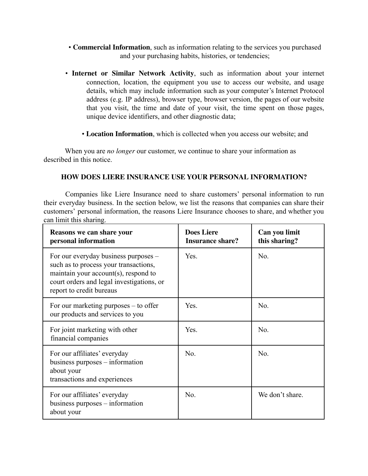- **Commercial Information**, such as information relating to the services you purchased and your purchasing habits, histories, or tendencies;
- **Internet or Similar Network Activity**, such as information about your internet connection, location, the equipment you use to access our website, and usage details, which may include information such as your computer's Internet Protocol address (e.g. IP address), browser type, browser version, the pages of our website that you visit, the time and date of your visit, the time spent on those pages, unique device identifiers, and other diagnostic data;
	- **Location Information**, which is collected when you access our website; and

When you are *no longer* our customer, we continue to share your information as described in this notice.

# **HOW DOES LIERE INSURANCE USE YOUR PERSONAL INFORMATION?**

Companies like Liere Insurance need to share customers' personal information to run their everyday business. In the section below, we list the reasons that companies can share their customers' personal information, the reasons Liere Insurance chooses to share, and whether you can limit this sharing.

| Reasons we can share your<br>personal information                                                                                                                                              | <b>Does Liere</b><br><b>Insurance share?</b> | Can you limit<br>this sharing? |
|------------------------------------------------------------------------------------------------------------------------------------------------------------------------------------------------|----------------------------------------------|--------------------------------|
| For our everyday business purposes –<br>such as to process your transactions,<br>maintain your account(s), respond to<br>court orders and legal investigations, or<br>report to credit bureaus | Yes.                                         | No.                            |
| For our marketing purposes $-$ to offer<br>our products and services to you                                                                                                                    | Yes.                                         | No.                            |
| For joint marketing with other<br>financial companies                                                                                                                                          | Yes.                                         | No.                            |
| For our affiliates' everyday<br>business purposes $-$ information<br>about your<br>transactions and experiences                                                                                | No.                                          | No.                            |
| For our affiliates' everyday<br>business purposes $-$ information<br>about your                                                                                                                | No.                                          | We don't share.                |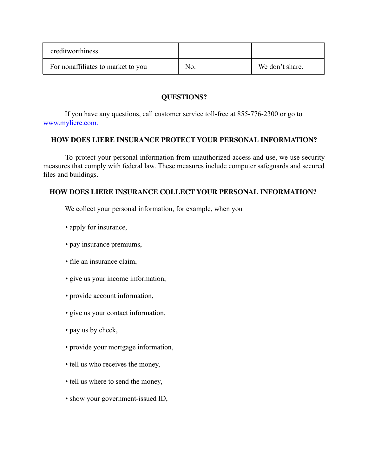| creditworthiness                   |     |                 |
|------------------------------------|-----|-----------------|
| For nonaffiliates to market to you | No. | We don't share. |

# **QUESTIONS?**

If you have any questions, call customer service toll-free at 855-776-2300 or go to www.myliere.com.

## **HOW DOES LIERE INSURANCE PROTECT YOUR PERSONAL INFORMATION?**

To protect your personal information from unauthorized access and use, we use security measures that comply with federal law. These measures include computer safeguards and secured files and buildings.

# **HOW DOES LIERE INSURANCE COLLECT YOUR PERSONAL INFORMATION?**

We collect your personal information, for example, when you

- apply for insurance,
- pay insurance premiums,
- file an insurance claim,
- give us your income information,
- provide account information,
- give us your contact information,
- pay us by check,
- provide your mortgage information,
- tell us who receives the money,
- tell us where to send the money,
- show your government-issued ID,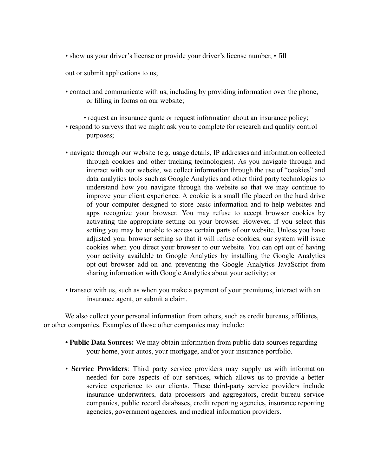• show us your driver's license or provide your driver's license number, • fill

out or submit applications to us;

- contact and communicate with us, including by providing information over the phone, or filling in forms on our website;
	- request an insurance quote or request information about an insurance policy;
- respond to surveys that we might ask you to complete for research and quality control purposes;
- navigate through our website (e.g. usage details, IP addresses and information collected through cookies and other tracking technologies). As you navigate through and interact with our website, we collect information through the use of "cookies" and data analytics tools such as Google Analytics and other third party technologies to understand how you navigate through the website so that we may continue to improve your client experience. A cookie is a small file placed on the hard drive of your computer designed to store basic information and to help websites and apps recognize your browser. You may refuse to accept browser cookies by activating the appropriate setting on your browser. However, if you select this setting you may be unable to access certain parts of our website. Unless you have adjusted your browser setting so that it will refuse cookies, our system will issue cookies when you direct your browser to our website. You can opt out of having your activity available to Google Analytics by installing the Google Analytics opt-out browser add-on and preventing the Google Analytics JavaScript from sharing information with Google Analytics about your activity; or
- transact with us, such as when you make a payment of your premiums, interact with an insurance agent, or submit a claim.

We also collect your personal information from others, such as credit bureaus, affiliates, or other companies. Examples of those other companies may include:

- **• Public Data Sources:** We may obtain information from public data sources regarding your home, your autos, your mortgage, and/or your insurance portfolio.
- **Service Providers**: Third party service providers may supply us with information needed for core aspects of our services, which allows us to provide a better service experience to our clients. These third-party service providers include insurance underwriters, data processors and aggregators, credit bureau service companies, public record databases, credit reporting agencies, insurance reporting agencies, government agencies, and medical information providers.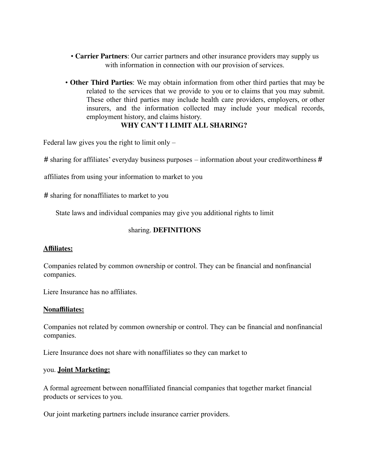- **Carrier Partners**: Our carrier partners and other insurance providers may supply us with information in connection with our provision of services.
- **Other Third Parties**: We may obtain information from other third parties that may be related to the services that we provide to you or to claims that you may submit. These other third parties may include health care providers, employers, or other insurers, and the information collected may include your medical records, employment history, and claims history.

# **WHY CAN'T I LIMIT ALL SHARING?**

Federal law gives you the right to limit only  $-$ 

# sharing for affiliates' everyday business purposes – information about your creditworthiness #

affiliates from using your information to market to you

# sharing for nonaffiliates to market to you

State laws and individual companies may give you additional rights to limit

## sharing. **DEFINITIONS**

#### **Affiliates:**

Companies related by common ownership or control. They can be financial and nonfinancial companies.

Liere Insurance has no affiliates.

#### **Nonaffiliates:**

Companies not related by common ownership or control. They can be financial and nonfinancial companies.

Liere Insurance does not share with nonaffiliates so they can market to

#### you. **Joint Marketing:**

A formal agreement between nonaffiliated financial companies that together market financial products or services to you.

Our joint marketing partners include insurance carrier providers.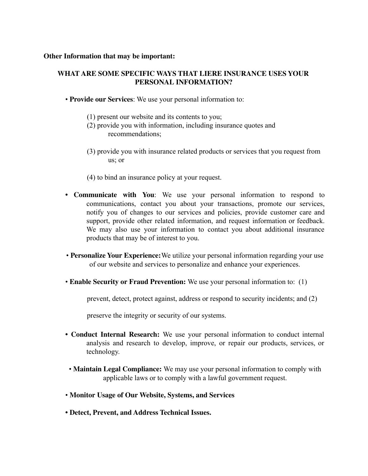### **Other Information that may be important:**

# **WHAT ARE SOME SPECIFIC WAYS THAT LIERE INSURANCE USES YOUR PERSONAL INFORMATION?**

- **Provide our Services**: We use your personal information to:
	- (1) present our website and its contents to you;
	- (2) provide you with information, including insurance quotes and recommendations;
	- (3) provide you with insurance related products or services that you request from us; or
	- (4) to bind an insurance policy at your request.
- **• Communicate with You**: We use your personal information to respond to communications, contact you about your transactions, promote our services, notify you of changes to our services and policies, provide customer care and support, provide other related information, and request information or feedback. We may also use your information to contact you about additional insurance products that may be of interest to you.
- **Personalize Your Experience:**We utilize your personal information regarding your use of our website and services to personalize and enhance your experiences.
- **Enable Security or Fraud Prevention:** We use your personal information to: (1)

prevent, detect, protect against, address or respond to security incidents; and (2)

preserve the integrity or security of our systems.

- **• Conduct Internal Research:** We use your personal information to conduct internal analysis and research to develop, improve, or repair our products, services, or technology.
- **Maintain Legal Compliance:** We may use your personal information to comply with applicable laws or to comply with a lawful government request.
- **Monitor Usage of Our Website, Systems, and Services**
- **• Detect, Prevent, and Address Technical Issues.**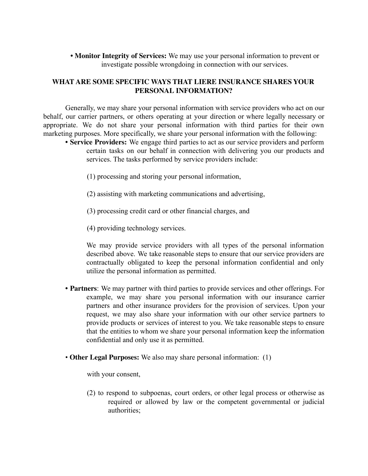**• Monitor Integrity of Services:** We may use your personal information to prevent or investigate possible wrongdoing in connection with our services.

# **WHAT ARE SOME SPECIFIC WAYS THAT LIERE INSURANCE SHARES YOUR PERSONAL INFORMATION?**

Generally, we may share your personal information with service providers who act on our behalf, our carrier partners, or others operating at your direction or where legally necessary or appropriate. We do not share your personal information with third parties for their own marketing purposes. More specifically, we share your personal information with the following:

- **• Service Providers:** We engage third parties to act as our service providers and perform certain tasks on our behalf in connection with delivering you our products and services. The tasks performed by service providers include:
	- (1) processing and storing your personal information,
	- (2) assisting with marketing communications and advertising,
	- (3) processing credit card or other financial charges, and
	- (4) providing technology services.

We may provide service providers with all types of the personal information described above. We take reasonable steps to ensure that our service providers are contractually obligated to keep the personal information confidential and only utilize the personal information as permitted.

- **• Partners**: We may partner with third parties to provide services and other offerings. For example, we may share you personal information with our insurance carrier partners and other insurance providers for the provision of services. Upon your request, we may also share your information with our other service partners to provide products or services of interest to you. We take reasonable steps to ensure that the entities to whom we share your personal information keep the information confidential and only use it as permitted.
- **Other Legal Purposes:** We also may share personal information: (1)

with your consent,

(2) to respond to subpoenas, court orders, or other legal process or otherwise as required or allowed by law or the competent governmental or judicial authorities;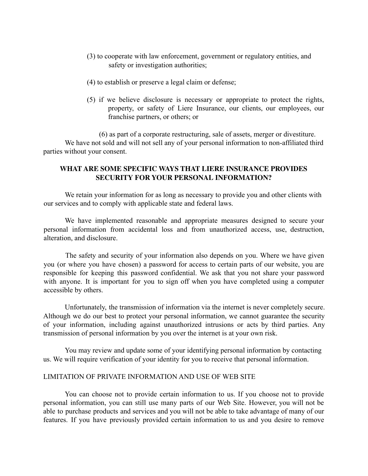- (3) to cooperate with law enforcement, government or regulatory entities, and safety or investigation authorities;
- (4) to establish or preserve a legal claim or defense;
- (5) if we believe disclosure is necessary or appropriate to protect the rights, property, or safety of Liere Insurance, our clients, our employees, our franchise partners, or others; or

(6) as part of a corporate restructuring, sale of assets, merger or divestiture. We have not sold and will not sell any of your personal information to non-affiliated third parties without your consent.

# **WHAT ARE SOME SPECIFIC WAYS THAT LIERE INSURANCE PROVIDES SECURITY FOR YOUR PERSONAL INFORMATION?**

We retain your information for as long as necessary to provide you and other clients with our services and to comply with applicable state and federal laws.

We have implemented reasonable and appropriate measures designed to secure your personal information from accidental loss and from unauthorized access, use, destruction, alteration, and disclosure.

The safety and security of your information also depends on you. Where we have given you (or where you have chosen) a password for access to certain parts of our website, you are responsible for keeping this password confidential. We ask that you not share your password with anyone. It is important for you to sign off when you have completed using a computer accessible by others.

Unfortunately, the transmission of information via the internet is never completely secure. Although we do our best to protect your personal information, we cannot guarantee the security of your information, including against unauthorized intrusions or acts by third parties. Any transmission of personal information by you over the internet is at your own risk.

You may review and update some of your identifying personal information by contacting us. We will require verification of your identity for you to receive that personal information.

## LIMITATION OF PRIVATE INFORMATION AND USE OF WEB SITE

You can choose not to provide certain information to us. If you choose not to provide personal information, you can still use many parts of our Web Site. However, you will not be able to purchase products and services and you will not be able to take advantage of many of our features. If you have previously provided certain information to us and you desire to remove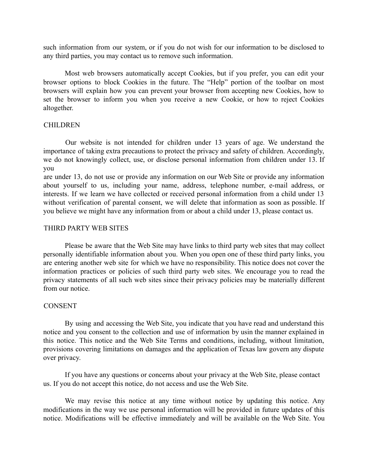such information from our system, or if you do not wish for our information to be disclosed to any third parties, you may contact us to remove such information.

Most web browsers automatically accept Cookies, but if you prefer, you can edit your browser options to block Cookies in the future. The "Help" portion of the toolbar on most browsers will explain how you can prevent your browser from accepting new Cookies, how to set the browser to inform you when you receive a new Cookie, or how to reject Cookies altogether.

## CHILDREN

Our website is not intended for children under 13 years of age. We understand the importance of taking extra precautions to protect the privacy and safety of children. Accordingly, we do not knowingly collect, use, or disclose personal information from children under 13. If you

are under 13, do not use or provide any information on our Web Site or provide any information about yourself to us, including your name, address, telephone number, e-mail address, or interests. If we learn we have collected or received personal information from a child under 13 without verification of parental consent, we will delete that information as soon as possible. If you believe we might have any information from or about a child under 13, please contact us.

### THIRD PARTY WEB SITES

Please be aware that the Web Site may have links to third party web sites that may collect personally identifiable information about you. When you open one of these third party links, you are entering another web site for which we have no responsibility. This notice does not cover the information practices or policies of such third party web sites. We encourage you to read the privacy statements of all such web sites since their privacy policies may be materially different from our notice.

## **CONSENT**

By using and accessing the Web Site, you indicate that you have read and understand this notice and you consent to the collection and use of information by usin the manner explained in this notice. This notice and the Web Site Terms and conditions, including, without limitation, provisions covering limitations on damages and the application of Texas law govern any dispute over privacy.

If you have any questions or concerns about your privacy at the Web Site, please contact us. If you do not accept this notice, do not access and use the Web Site.

We may revise this notice at any time without notice by updating this notice. Any modifications in the way we use personal information will be provided in future updates of this notice. Modifications will be effective immediately and will be available on the Web Site. You